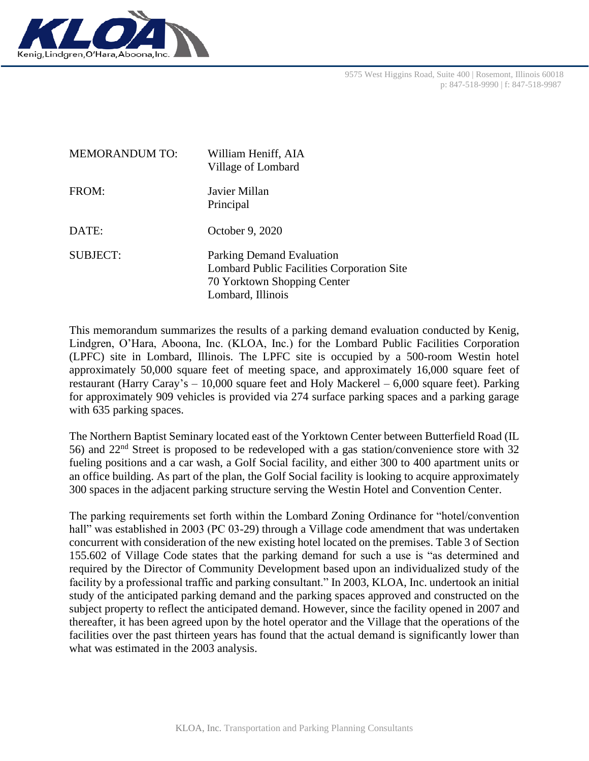

| <b>MEMORANDUM TO:</b> | William Heniff, AIA<br>Village of Lombard                                                                                          |
|-----------------------|------------------------------------------------------------------------------------------------------------------------------------|
| FROM:                 | Javier Millan<br>Principal                                                                                                         |
| DATE:                 | October 9, 2020                                                                                                                    |
| <b>SUBJECT:</b>       | Parking Demand Evaluation<br><b>Lombard Public Facilities Corporation Site</b><br>70 Yorktown Shopping Center<br>Lombard, Illinois |

This memorandum summarizes the results of a parking demand evaluation conducted by Kenig, Lindgren, O'Hara, Aboona, Inc. (KLOA, Inc.) for the Lombard Public Facilities Corporation (LPFC) site in Lombard, Illinois. The LPFC site is occupied by a 500-room Westin hotel approximately 50,000 square feet of meeting space, and approximately 16,000 square feet of restaurant (Harry Caray's – 10,000 square feet and Holy Mackerel – 6,000 square feet). Parking for approximately 909 vehicles is provided via 274 surface parking spaces and a parking garage with 635 parking spaces.

The Northern Baptist Seminary located east of the Yorktown Center between Butterfield Road (IL 56) and 22nd Street is proposed to be redeveloped with a gas station/convenience store with 32 fueling positions and a car wash, a Golf Social facility, and either 300 to 400 apartment units or an office building. As part of the plan, the Golf Social facility is looking to acquire approximately 300 spaces in the adjacent parking structure serving the Westin Hotel and Convention Center.

The parking requirements set forth within the Lombard Zoning Ordinance for "hotel/convention hall" was established in 2003 (PC 03-29) through a Village code amendment that was undertaken concurrent with consideration of the new existing hotel located on the premises. Table 3 of Section 155.602 of Village Code states that the parking demand for such a use is "as determined and required by the Director of Community Development based upon an individualized study of the facility by a professional traffic and parking consultant." In 2003, KLOA, Inc. undertook an initial study of the anticipated parking demand and the parking spaces approved and constructed on the subject property to reflect the anticipated demand. However, since the facility opened in 2007 and thereafter, it has been agreed upon by the hotel operator and the Village that the operations of the facilities over the past thirteen years has found that the actual demand is significantly lower than what was estimated in the 2003 analysis.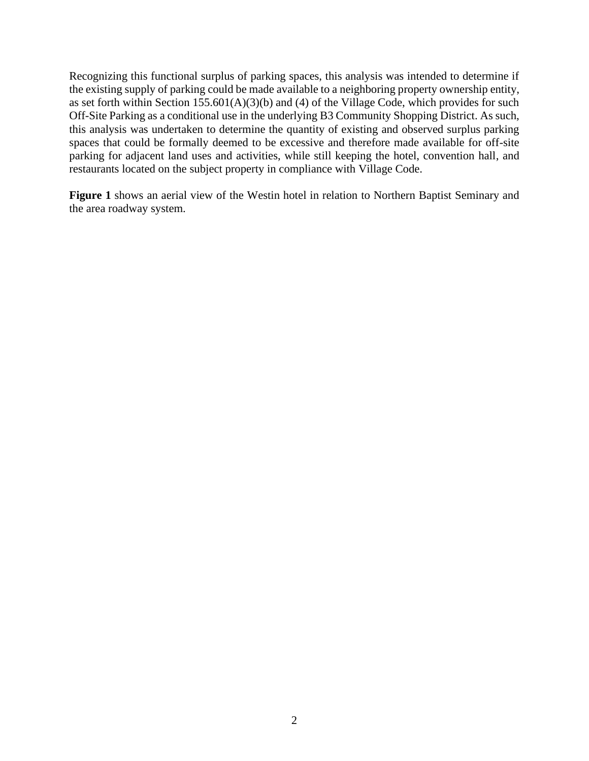Recognizing this functional surplus of parking spaces, this analysis was intended to determine if the existing supply of parking could be made available to a neighboring property ownership entity, as set forth within Section 155.601(A)(3)(b) and (4) of the Village Code, which provides for such Off-Site Parking as a conditional use in the underlying B3 Community Shopping District. As such, this analysis was undertaken to determine the quantity of existing and observed surplus parking spaces that could be formally deemed to be excessive and therefore made available for off-site parking for adjacent land uses and activities, while still keeping the hotel, convention hall, and restaurants located on the subject property in compliance with Village Code.

**Figure 1** shows an aerial view of the Westin hotel in relation to Northern Baptist Seminary and the area roadway system.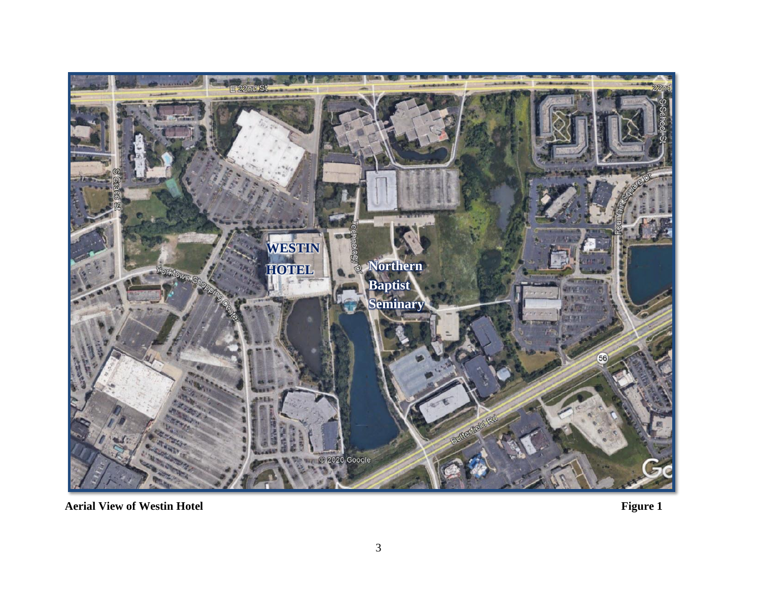

**Aerial View of Westin Hotel Figure 1**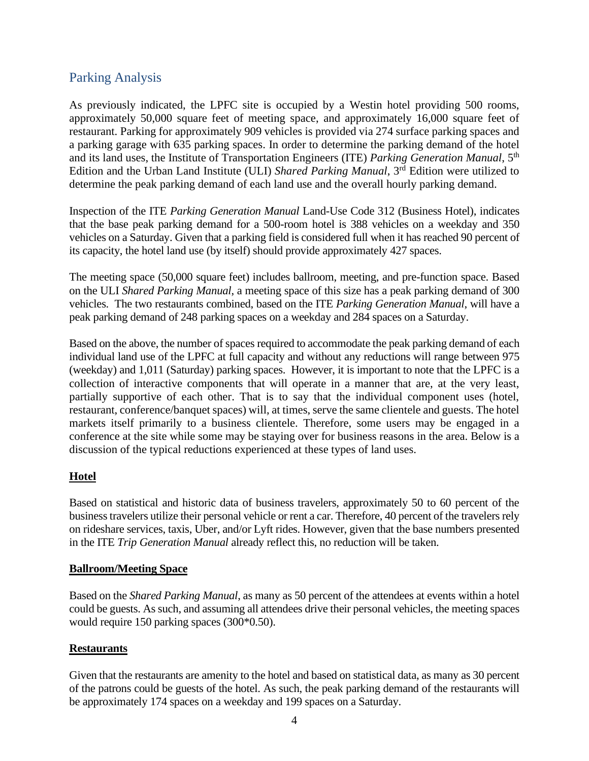# Parking Analysis

As previously indicated, the LPFC site is occupied by a Westin hotel providing 500 rooms, approximately 50,000 square feet of meeting space, and approximately 16,000 square feet of restaurant. Parking for approximately 909 vehicles is provided via 274 surface parking spaces and a parking garage with 635 parking spaces. In order to determine the parking demand of the hotel and its land uses, the Institute of Transportation Engineers (ITE) *Parking Generation Manual*, 5th Edition and the Urban Land Institute (ULI) *Shared Parking Manual*, 3<sup>rd</sup> Edition were utilized to determine the peak parking demand of each land use and the overall hourly parking demand.

Inspection of the ITE *Parking Generation Manual* Land-Use Code 312 (Business Hotel), indicates that the base peak parking demand for a 500-room hotel is 388 vehicles on a weekday and 350 vehicles on a Saturday. Given that a parking field is considered full when it has reached 90 percent of its capacity, the hotel land use (by itself) should provide approximately 427 spaces.

The meeting space (50,000 square feet) includes ballroom, meeting, and pre-function space. Based on the ULI *Shared Parking Manual*, a meeting space of this size has a peak parking demand of 300 vehicles. The two restaurants combined, based on the ITE *Parking Generation Manual*, will have a peak parking demand of 248 parking spaces on a weekday and 284 spaces on a Saturday.

Based on the above, the number of spaces required to accommodate the peak parking demand of each individual land use of the LPFC at full capacity and without any reductions will range between 975 (weekday) and 1,011 (Saturday) parking spaces. However, it is important to note that the LPFC is a collection of interactive components that will operate in a manner that are, at the very least, partially supportive of each other. That is to say that the individual component uses (hotel, restaurant, conference/banquet spaces) will, at times, serve the same clientele and guests. The hotel markets itself primarily to a business clientele. Therefore, some users may be engaged in a conference at the site while some may be staying over for business reasons in the area. Below is a discussion of the typical reductions experienced at these types of land uses.

### **Hotel**

Based on statistical and historic data of business travelers, approximately 50 to 60 percent of the business travelers utilize their personal vehicle or rent a car. Therefore, 40 percent of the travelers rely on rideshare services, taxis, Uber, and/or Lyft rides. However, given that the base numbers presented in the ITE *Trip Generation Manual* already reflect this, no reduction will be taken.

#### **Ballroom/Meeting Space**

Based on the *Shared Parking Manual*, as many as 50 percent of the attendees at events within a hotel could be guests. As such, and assuming all attendees drive their personal vehicles, the meeting spaces would require 150 parking spaces (300\*0.50).

#### **Restaurants**

Given that the restaurants are amenity to the hotel and based on statistical data, as many as 30 percent of the patrons could be guests of the hotel. As such, the peak parking demand of the restaurants will be approximately 174 spaces on a weekday and 199 spaces on a Saturday.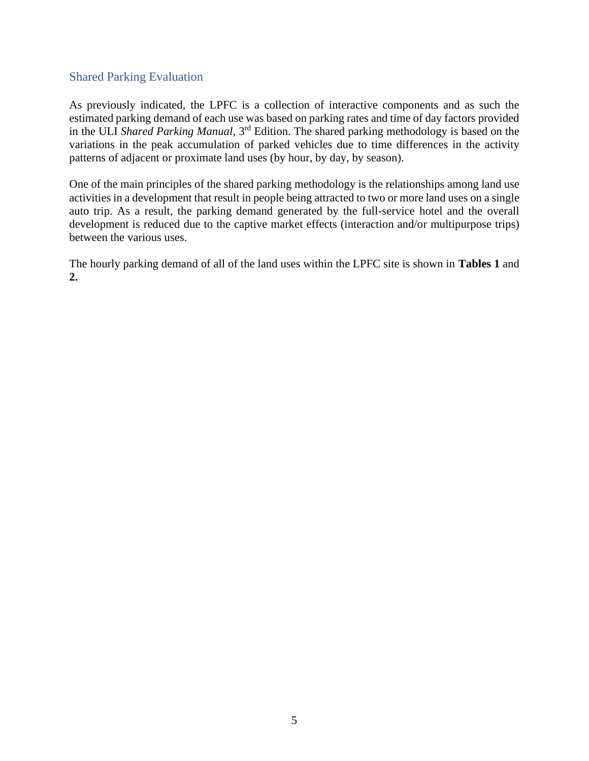### Shared Parking Evaluation

As previously indicated, the LPFC is a collection of interactive components and as such the estimated parking demand of each use was based on parking rates and time of day factors provided in the ULI *Shared Parking Manual*, 3rd Edition. The shared parking methodology is based on the variations in the peak accumulation of parked vehicles due to time differences in the activity patterns of adjacent or proximate land uses (by hour, by day, by season).

One of the main principles of the shared parking methodology is the relationships among land use activities in a development that result in people being attracted to two or more land uses on a single auto trip. As a result, the parking demand generated by the full-service hotel and the overall development is reduced due to the captive market effects (interaction and/or multipurpose trips) between the various uses.

The hourly parking demand of all of the land uses within the LPFC site is shown in **Tables 1** and **2.**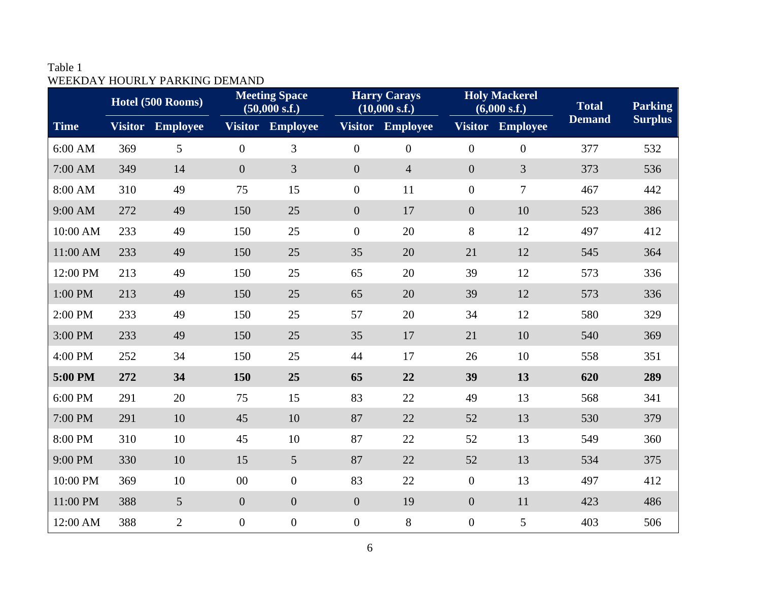## Table 1 WEEKDAY HOURLY PARKING DEMAND

|             | Hotel (500 Rooms) |                 | <b>Meeting Space</b><br>(50,000 s.f.) |                  | <b>Harry Carays</b><br>(10,000 s.f.) |                  | <b>Holy Mackerel</b><br>(6,000 s.f.) |                  | <b>Total</b>  | <b>Parking</b> |
|-------------|-------------------|-----------------|---------------------------------------|------------------|--------------------------------------|------------------|--------------------------------------|------------------|---------------|----------------|
| <b>Time</b> | <b>Visitor</b>    | <b>Employee</b> | <b>Visitor</b>                        | <b>Employee</b>  | <b>Visitor</b>                       | <b>Employee</b>  | <b>Visitor</b>                       | <b>Employee</b>  | <b>Demand</b> | <b>Surplus</b> |
| 6:00 AM     | 369               | 5               | $\overline{0}$                        | 3                | $\boldsymbol{0}$                     | $\boldsymbol{0}$ | $\boldsymbol{0}$                     | $\boldsymbol{0}$ | 377           | 532            |
| 7:00 AM     | 349               | 14              | $\overline{0}$                        | 3                | $\overline{0}$                       | $\overline{4}$   | $\boldsymbol{0}$                     | 3                | 373           | 536            |
| 8:00 AM     | 310               | 49              | 75                                    | 15               | $\boldsymbol{0}$                     | 11               | $\boldsymbol{0}$                     | 7                | 467           | 442            |
| 9:00 AM     | 272               | 49              | 150                                   | 25               | $\boldsymbol{0}$                     | 17               | $\boldsymbol{0}$                     | 10               | 523           | 386            |
| 10:00 AM    | 233               | 49              | 150                                   | 25               | $\boldsymbol{0}$                     | 20               | 8                                    | 12               | 497           | 412            |
| 11:00 AM    | 233               | 49              | 150                                   | 25               | 35                                   | 20               | 21                                   | 12               | 545           | 364            |
| 12:00 PM    | 213               | 49              | 150                                   | 25               | 65                                   | 20               | 39                                   | 12               | 573           | 336            |
| 1:00 PM     | 213               | 49              | 150                                   | 25               | 65                                   | 20               | 39                                   | 12               | 573           | 336            |
| 2:00 PM     | 233               | 49              | 150                                   | 25               | 57                                   | 20               | 34                                   | 12               | 580           | 329            |
| 3:00 PM     | 233               | 49              | 150                                   | 25               | 35                                   | 17               | 21                                   | 10               | 540           | 369            |
| 4:00 PM     | 252               | 34              | 150                                   | 25               | 44                                   | 17               | 26                                   | 10               | 558           | 351            |
| 5:00 PM     | 272               | 34              | 150                                   | 25               | 65                                   | 22               | 39                                   | 13               | 620           | 289            |
| 6:00 PM     | 291               | 20              | 75                                    | 15               | 83                                   | 22               | 49                                   | 13               | 568           | 341            |
| 7:00 PM     | 291               | 10              | 45                                    | 10               | 87                                   | 22               | 52                                   | 13               | 530           | 379            |
| 8:00 PM     | 310               | 10              | 45                                    | 10               | 87                                   | 22               | 52                                   | 13               | 549           | 360            |
| 9:00 PM     | 330               | 10              | 15                                    | 5 <sup>5</sup>   | 87                                   | 22               | 52                                   | 13               | 534           | 375            |
| 10:00 PM    | 369               | 10              | $00\,$                                | $\boldsymbol{0}$ | 83                                   | 22               | $\boldsymbol{0}$                     | 13               | 497           | 412            |
| 11:00 PM    | 388               | 5               | $\overline{0}$                        | $\boldsymbol{0}$ | $\boldsymbol{0}$                     | 19               | $\boldsymbol{0}$                     | 11               | 423           | 486            |
| 12:00 AM    | 388               | $\overline{2}$  | $\overline{0}$                        | $\boldsymbol{0}$ | $\boldsymbol{0}$                     | 8                | $\boldsymbol{0}$                     | 5                | 403           | 506            |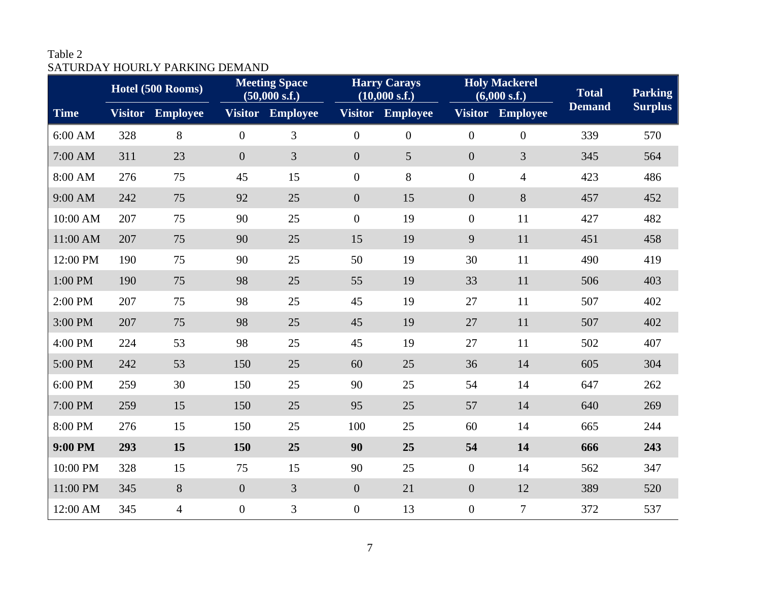## Table 2 SATURDAY HOURLY PARKING DEMAND

|             | Hotel (500 Rooms) |                  | <b>Meeting Space</b><br>(50,000 s.f.) |                  | <b>Harry Carays</b><br>(10,000 s.f.) |                 | <b>Holy Mackerel</b><br>(6,000 s.f.) |                 | <b>Total</b>  | <b>Parking</b> |
|-------------|-------------------|------------------|---------------------------------------|------------------|--------------------------------------|-----------------|--------------------------------------|-----------------|---------------|----------------|
| <b>Time</b> |                   | Visitor Employee |                                       | Visitor Employee | <b>Visitor</b>                       | <b>Employee</b> | <b>Visitor</b>                       | <b>Employee</b> | <b>Demand</b> | <b>Surplus</b> |
| 6:00 AM     | 328               | 8                | $\overline{0}$                        | 3                | $\boldsymbol{0}$                     | $\overline{0}$  | $\boldsymbol{0}$                     | $\overline{0}$  | 339           | 570            |
| 7:00 AM     | 311               | 23               | $\overline{0}$                        | 3                | $\boldsymbol{0}$                     | 5               | $\overline{0}$                       | 3               | 345           | 564            |
| 8:00 AM     | 276               | 75               | 45                                    | 15               | $\boldsymbol{0}$                     | 8               | $\boldsymbol{0}$                     | $\overline{4}$  | 423           | 486            |
| 9:00 AM     | 242               | 75               | 92                                    | 25               | $\boldsymbol{0}$                     | 15              | $\boldsymbol{0}$                     | $8\,$           | 457           | 452            |
| 10:00 AM    | 207               | 75               | 90                                    | 25               | $\boldsymbol{0}$                     | 19              | $\boldsymbol{0}$                     | 11              | 427           | 482            |
| 11:00 AM    | 207               | 75               | 90                                    | 25               | 15                                   | 19              | 9                                    | 11              | 451           | 458            |
| 12:00 PM    | 190               | 75               | 90                                    | 25               | 50                                   | 19              | 30                                   | 11              | 490           | 419            |
| 1:00 PM     | 190               | 75               | 98                                    | 25               | 55                                   | 19              | 33                                   | 11              | 506           | 403            |
| 2:00 PM     | 207               | 75               | 98                                    | 25               | 45                                   | 19              | 27                                   | 11              | 507           | 402            |
| 3:00 PM     | 207               | 75               | 98                                    | 25               | 45                                   | 19              | 27                                   | 11              | 507           | 402            |
| 4:00 PM     | 224               | 53               | 98                                    | 25               | 45                                   | 19              | 27                                   | 11              | 502           | 407            |
| 5:00 PM     | 242               | 53               | 150                                   | 25               | 60                                   | 25              | 36                                   | 14              | 605           | 304            |
| 6:00 PM     | 259               | 30               | 150                                   | 25               | 90                                   | 25              | 54                                   | 14              | 647           | 262            |
| 7:00 PM     | 259               | 15               | 150                                   | 25               | 95                                   | 25              | 57                                   | 14              | 640           | 269            |
| 8:00 PM     | 276               | 15               | 150                                   | 25               | 100                                  | 25              | 60                                   | 14              | 665           | 244            |
| 9:00 PM     | 293               | 15               | 150                                   | 25               | 90                                   | 25              | 54                                   | 14              | 666           | 243            |
| 10:00 PM    | 328               | 15               | 75                                    | 15               | 90                                   | 25              | $\boldsymbol{0}$                     | 14              | 562           | 347            |
| 11:00 PM    | 345               | $8\,$            | $\overline{0}$                        | 3                | $\boldsymbol{0}$                     | 21              | $\boldsymbol{0}$                     | 12              | 389           | 520            |
| 12:00 AM    | 345               | $\overline{4}$   | $\overline{0}$                        | 3                | $\boldsymbol{0}$                     | 13              | $\boldsymbol{0}$                     | $\tau$          | 372           | 537            |